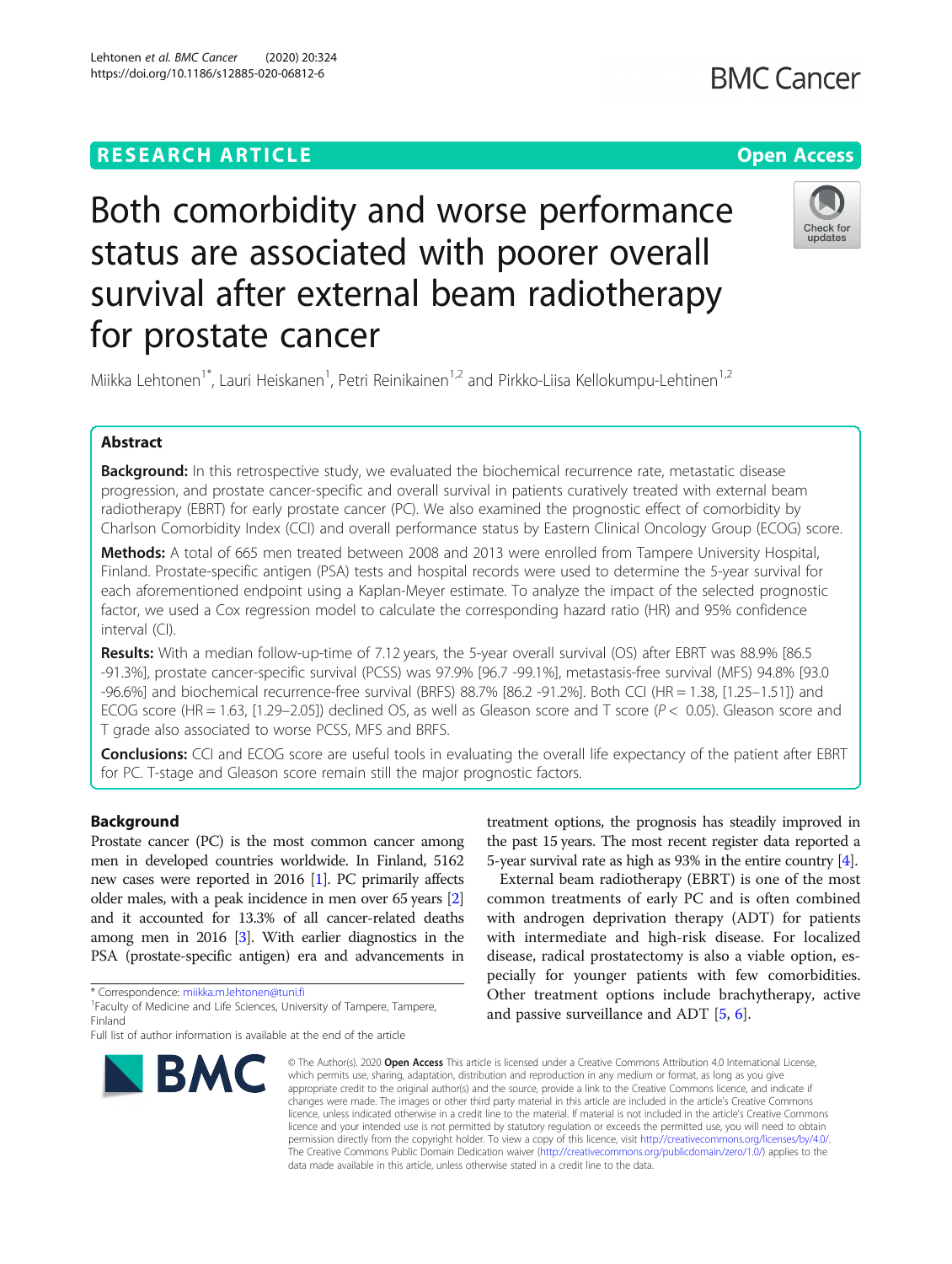# **RESEARCH ARTICLE Example 2014 12:30 The Contract of Contract ACCESS**

# **BMC Cancer**

# Check for undates

for prostate cancer Miikka Lehtonen<sup>1\*</sup>, Lauri Heiskanen<sup>1</sup>, Petri Reinikainen<sup>1,2</sup> and Pirkko-Liisa Kellokumpu-Lehtinen<sup>1,2</sup>

Both comorbidity and worse performance

status are associated with poorer overall

survival after external beam radiotherapy

# Abstract

Background: In this retrospective study, we evaluated the biochemical recurrence rate, metastatic disease progression, and prostate cancer-specific and overall survival in patients curatively treated with external beam radiotherapy (EBRT) for early prostate cancer (PC). We also examined the prognostic effect of comorbidity by Charlson Comorbidity Index (CCI) and overall performance status by Eastern Clinical Oncology Group (ECOG) score.

Methods: A total of 665 men treated between 2008 and 2013 were enrolled from Tampere University Hospital, Finland. Prostate-specific antigen (PSA) tests and hospital records were used to determine the 5-year survival for each aforementioned endpoint using a Kaplan-Meyer estimate. To analyze the impact of the selected prognostic factor, we used a Cox regression model to calculate the corresponding hazard ratio (HR) and 95% confidence interval (CI).

Results: With a median follow-up-time of 7.12 years, the 5-year overall survival (OS) after EBRT was 88.9% [86.5 -91.3%], prostate cancer-specific survival (PCSS) was 97.9% [96.7 -99.1%], metastasis-free survival (MFS) 94.8% [93.0 -96.6%] and biochemical recurrence-free survival (BRFS) 88.7% [86.2 -91.2%]. Both CCI (HR = 1.38, [1.25–1.51]) and ECOG score (HR = 1.63, [1.29–2.05]) declined OS, as well as Gleason score and T score ( $P < 0.05$ ). Gleason score and T grade also associated to worse PCSS, MFS and BRFS.

**Conclusions:** CCI and ECOG score are useful tools in evaluating the overall life expectancy of the patient after EBRT for PC. T-stage and Gleason score remain still the major prognostic factors.

# Background

Prostate cancer (PC) is the most common cancer among men in developed countries worldwide. In Finland, 5162 new cases were reported in 2016 [\[1\]](#page-7-0). PC primarily affects older males, with a peak incidence in men over 65 years [[2](#page-7-0)] and it accounted for 13.3% of all cancer-related deaths among men in 2016 [\[3](#page-7-0)]. With earlier diagnostics in the PSA (prostate-specific antigen) era and advancements in

\* Correspondence: [miikka.m.lehtonen@tuni.fi](mailto:miikka.m.lehtonen@tuni.fi) <sup>1</sup>

Full list of author information is available at the end of the article



treatment options, the prognosis has steadily improved in the past 15 years. The most recent register data reported a 5-year survival rate as high as 93% in the entire country [\[4\]](#page-7-0).

External beam radiotherapy (EBRT) is one of the most common treatments of early PC and is often combined with androgen deprivation therapy (ADT) for patients with intermediate and high-risk disease. For localized disease, radical prostatectomy is also a viable option, especially for younger patients with few comorbidities. Other treatment options include brachytherapy, active and passive surveillance and ADT [[5,](#page-7-0) [6\]](#page-7-0).

© The Author(s), 2020 **Open Access** This article is licensed under a Creative Commons Attribution 4.0 International License, which permits use, sharing, adaptation, distribution and reproduction in any medium or format, as long as you give appropriate credit to the original author(s) and the source, provide a link to the Creative Commons licence, and indicate if changes were made. The images or other third party material in this article are included in the article's Creative Commons licence, unless indicated otherwise in a credit line to the material. If material is not included in the article's Creative Commons licence and your intended use is not permitted by statutory regulation or exceeds the permitted use, you will need to obtain permission directly from the copyright holder. To view a copy of this licence, visit [http://creativecommons.org/licenses/by/4.0/.](http://creativecommons.org/licenses/by/4.0/) The Creative Commons Public Domain Dedication waiver [\(http://creativecommons.org/publicdomain/zero/1.0/](http://creativecommons.org/publicdomain/zero/1.0/)) applies to the data made available in this article, unless otherwise stated in a credit line to the data.

<sup>&</sup>lt;sup>1</sup> Faculty of Medicine and Life Sciences, University of Tampere, Tampere, Finland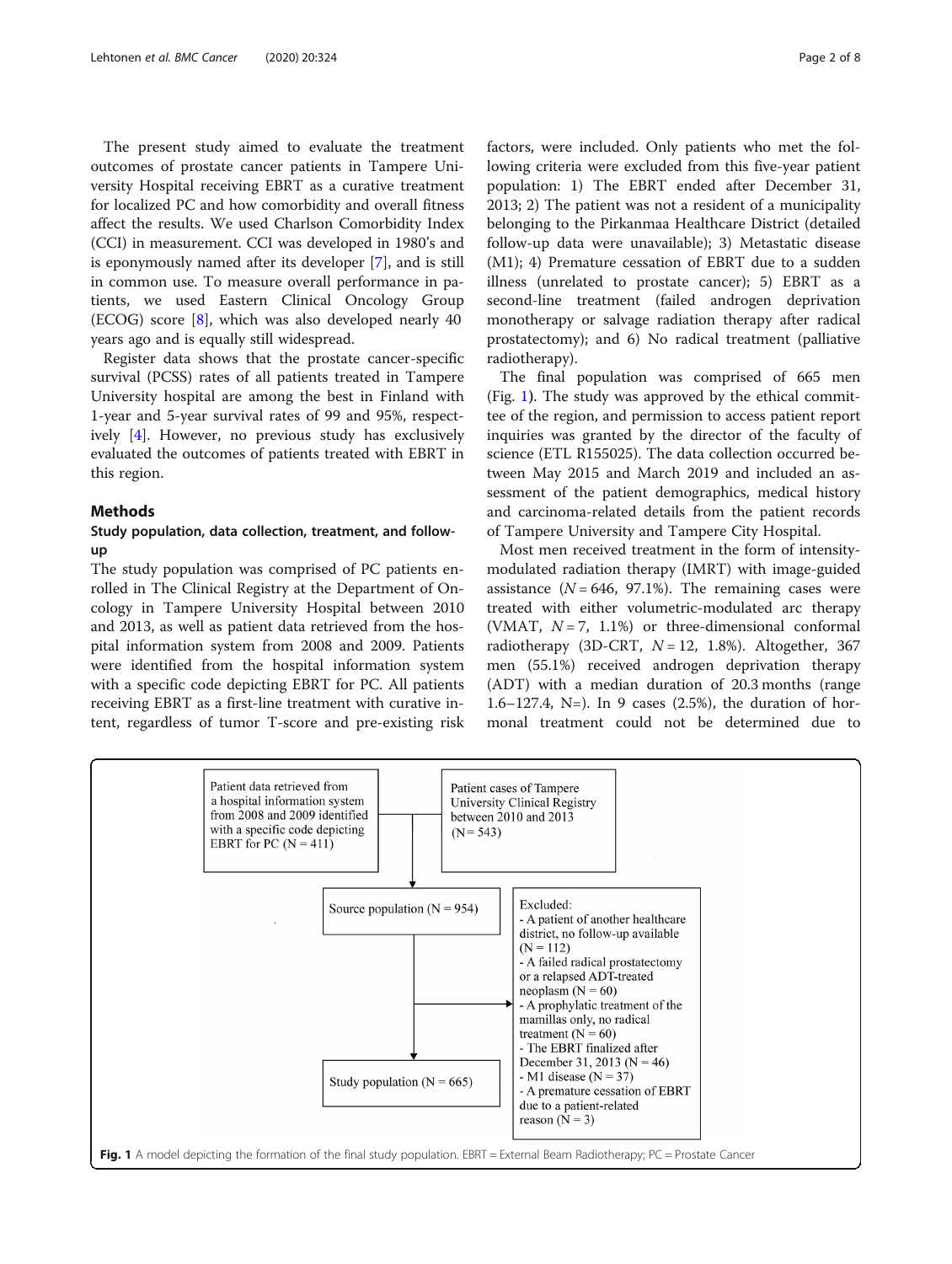The present study aimed to evaluate the treatment outcomes of prostate cancer patients in Tampere University Hospital receiving EBRT as a curative treatment for localized PC and how comorbidity and overall fitness affect the results. We used Charlson Comorbidity Index (CCI) in measurement. CCI was developed in 1980's and is eponymously named after its developer [[7\]](#page-7-0), and is still in common use. To measure overall performance in patients, we used Eastern Clinical Oncology Group (ECOG) score [[8\]](#page-7-0), which was also developed nearly 40 years ago and is equally still widespread.

Register data shows that the prostate cancer-specific survival (PCSS) rates of all patients treated in Tampere University hospital are among the best in Finland with 1-year and 5-year survival rates of 99 and 95%, respectively [[4\]](#page-7-0). However, no previous study has exclusively evaluated the outcomes of patients treated with EBRT in this region.

## Methods

# Study population, data collection, treatment, and followup

The study population was comprised of PC patients enrolled in The Clinical Registry at the Department of Oncology in Tampere University Hospital between 2010 and 2013, as well as patient data retrieved from the hospital information system from 2008 and 2009. Patients were identified from the hospital information system with a specific code depicting EBRT for PC. All patients receiving EBRT as a first-line treatment with curative intent, regardless of tumor T-score and pre-existing risk factors, were included. Only patients who met the following criteria were excluded from this five-year patient population: 1) The EBRT ended after December 31, 2013; 2) The patient was not a resident of a municipality belonging to the Pirkanmaa Healthcare District (detailed follow-up data were unavailable); 3) Metastatic disease (M1); 4) Premature cessation of EBRT due to a sudden illness (unrelated to prostate cancer); 5) EBRT as a second-line treatment (failed androgen deprivation monotherapy or salvage radiation therapy after radical prostatectomy); and 6) No radical treatment (palliative radiotherapy).

The final population was comprised of 665 men (Fig. 1). The study was approved by the ethical committee of the region, and permission to access patient report inquiries was granted by the director of the faculty of science (ETL R155025). The data collection occurred between May 2015 and March 2019 and included an assessment of the patient demographics, medical history and carcinoma-related details from the patient records of Tampere University and Tampere City Hospital.

Most men received treatment in the form of intensitymodulated radiation therapy (IMRT) with image-guided assistance ( $N = 646$ , 97.1%). The remaining cases were treated with either volumetric-modulated arc therapy (VMAT,  $N = 7$ , 1.1%) or three-dimensional conformal radiotherapy (3D-CRT,  $N = 12$ , 1.8%). Altogether, 367 men (55.1%) received androgen deprivation therapy (ADT) with a median duration of 20.3 months (range 1.6–127.4, N=). In 9 cases  $(2.5\%)$ , the duration of hormonal treatment could not be determined due to

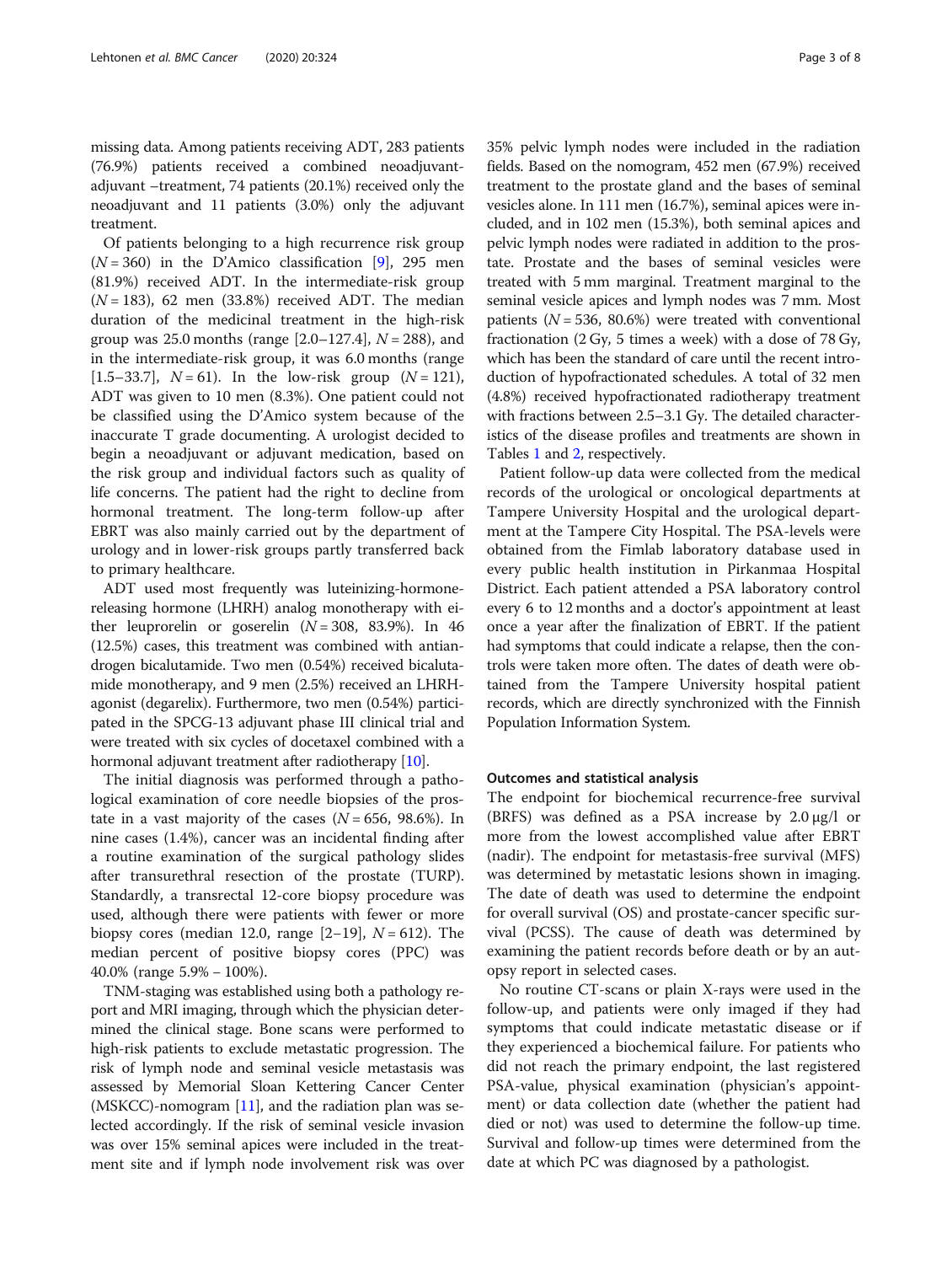missing data. Among patients receiving ADT, 283 patients (76.9%) patients received a combined neoadjuvantadjuvant –treatment, 74 patients (20.1%) received only the neoadjuvant and 11 patients (3.0%) only the adjuvant treatment.

Of patients belonging to a high recurrence risk group  $(N = 360)$  in the D'Amico classification [[9\]](#page-7-0), 295 men (81.9%) received ADT. In the intermediate-risk group  $(N = 183)$ , 62 men (33.8%) received ADT. The median duration of the medicinal treatment in the high-risk group was 25.0 months (range  $[2.0-127.4]$ ,  $N = 288$ ), and in the intermediate-risk group, it was 6.0 months (range [1.5–33.7],  $N = 61$ ). In the low-risk group  $(N = 121)$ , ADT was given to 10 men (8.3%). One patient could not be classified using the D'Amico system because of the inaccurate T grade documenting. A urologist decided to begin a neoadjuvant or adjuvant medication, based on the risk group and individual factors such as quality of life concerns. The patient had the right to decline from hormonal treatment. The long-term follow-up after EBRT was also mainly carried out by the department of urology and in lower-risk groups partly transferred back to primary healthcare.

ADT used most frequently was luteinizing-hormonereleasing hormone (LHRH) analog monotherapy with either leuprorelin or goserelin  $(N = 308, 83.9\%)$ . In 46 (12.5%) cases, this treatment was combined with antiandrogen bicalutamide. Two men (0.54%) received bicalutamide monotherapy, and 9 men (2.5%) received an LHRHagonist (degarelix). Furthermore, two men (0.54%) participated in the SPCG-13 adjuvant phase III clinical trial and were treated with six cycles of docetaxel combined with a hormonal adjuvant treatment after radiotherapy [[10\]](#page-7-0).

The initial diagnosis was performed through a pathological examination of core needle biopsies of the prostate in a vast majority of the cases ( $N = 656$ , 98.6%). In nine cases (1.4%), cancer was an incidental finding after a routine examination of the surgical pathology slides after transurethral resection of the prostate (TURP). Standardly, a transrectal 12-core biopsy procedure was used, although there were patients with fewer or more biopsy cores (median 12.0, range [2–19],  $N = 612$ ). The median percent of positive biopsy cores (PPC) was 40.0% (range 5.9% − 100%).

TNM-staging was established using both a pathology report and MRI imaging, through which the physician determined the clinical stage. Bone scans were performed to high-risk patients to exclude metastatic progression. The risk of lymph node and seminal vesicle metastasis was assessed by Memorial Sloan Kettering Cancer Center (MSKCC)-nomogram [\[11\]](#page-7-0), and the radiation plan was selected accordingly. If the risk of seminal vesicle invasion was over 15% seminal apices were included in the treatment site and if lymph node involvement risk was over 35% pelvic lymph nodes were included in the radiation fields. Based on the nomogram, 452 men (67.9%) received treatment to the prostate gland and the bases of seminal vesicles alone. In 111 men (16.7%), seminal apices were included, and in 102 men (15.3%), both seminal apices and pelvic lymph nodes were radiated in addition to the prostate. Prostate and the bases of seminal vesicles were treated with 5 mm marginal. Treatment marginal to the seminal vesicle apices and lymph nodes was 7 mm. Most patients ( $N = 536$ , 80.6%) were treated with conventional fractionation (2 Gy, 5 times a week) with a dose of 78 Gy, which has been the standard of care until the recent introduction of hypofractionated schedules. A total of 32 men (4.8%) received hypofractionated radiotherapy treatment with fractions between 2.5–3.1 Gy. The detailed characteristics of the disease profiles and treatments are shown in Tables [1](#page-3-0) and [2](#page-3-0), respectively.

Patient follow-up data were collected from the medical records of the urological or oncological departments at Tampere University Hospital and the urological department at the Tampere City Hospital. The PSA-levels were obtained from the Fimlab laboratory database used in every public health institution in Pirkanmaa Hospital District. Each patient attended a PSA laboratory control every 6 to 12 months and a doctor's appointment at least once a year after the finalization of EBRT. If the patient had symptoms that could indicate a relapse, then the controls were taken more often. The dates of death were obtained from the Tampere University hospital patient records, which are directly synchronized with the Finnish Population Information System.

### Outcomes and statistical analysis

The endpoint for biochemical recurrence-free survival (BRFS) was defined as a PSA increase by 2.0 μg/l or more from the lowest accomplished value after EBRT (nadir). The endpoint for metastasis-free survival (MFS) was determined by metastatic lesions shown in imaging. The date of death was used to determine the endpoint for overall survival (OS) and prostate-cancer specific survival (PCSS). The cause of death was determined by examining the patient records before death or by an autopsy report in selected cases.

No routine CT-scans or plain X-rays were used in the follow-up, and patients were only imaged if they had symptoms that could indicate metastatic disease or if they experienced a biochemical failure. For patients who did not reach the primary endpoint, the last registered PSA-value, physical examination (physician's appointment) or data collection date (whether the patient had died or not) was used to determine the follow-up time. Survival and follow-up times were determined from the date at which PC was diagnosed by a pathologist.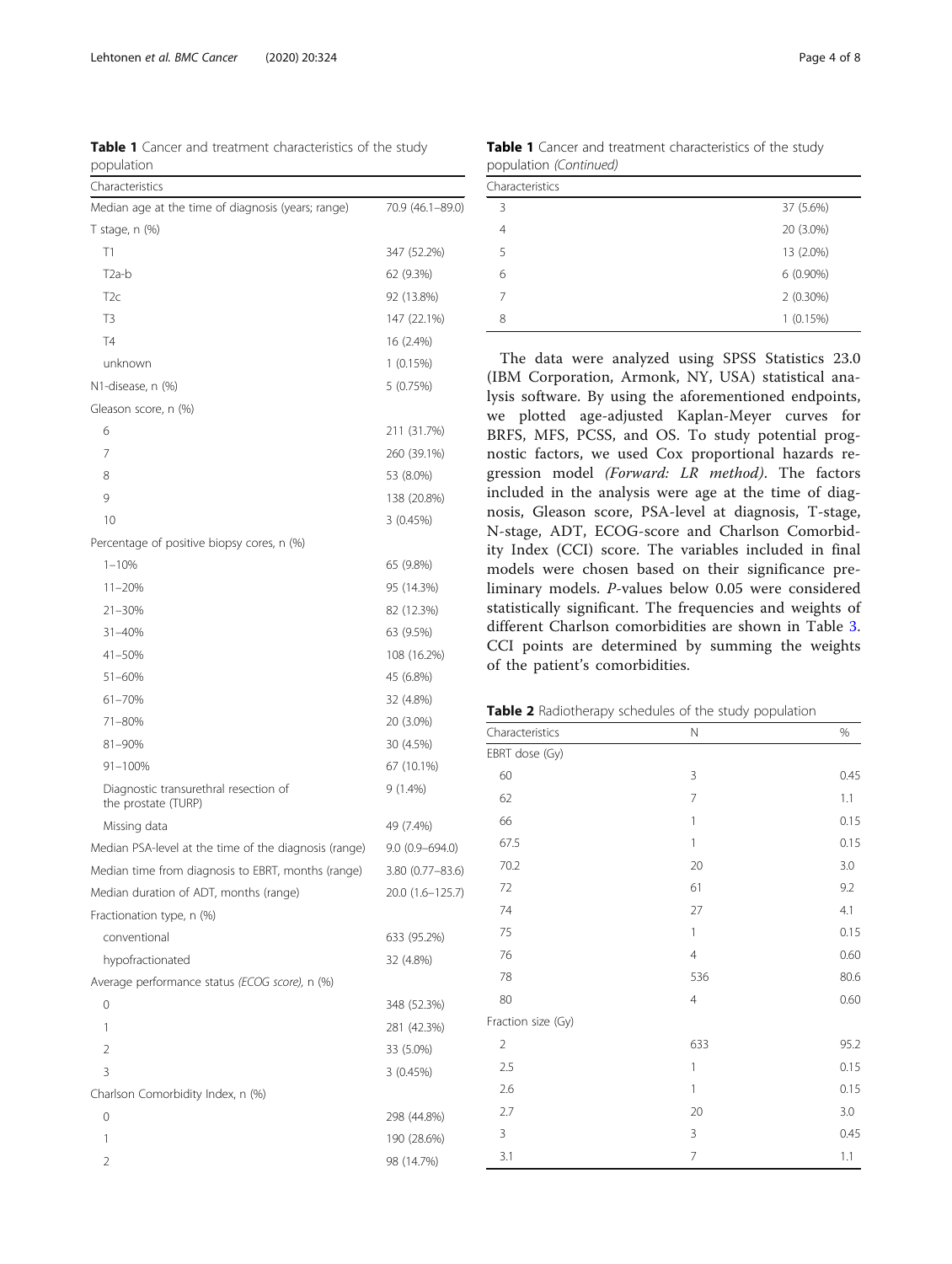<span id="page-3-0"></span>Table 1 Cancer and treatment characteristics of the study population

| Characteristics                                              |                    |
|--------------------------------------------------------------|--------------------|
| Median age at the time of diagnosis (years; range)           | 70.9 (46.1–89.0)   |
| T stage, $n$ (%)                                             |                    |
| Τ1                                                           | 347 (52.2%)        |
| T <sub>2a</sub> -b                                           | 62 (9.3%)          |
| T <sub>2c</sub>                                              | 92 (13.8%)         |
| T3                                                           | 147 (22.1%)        |
| <b>T4</b>                                                    | 16 (2.4%)          |
| unknown                                                      | 1(0.15%)           |
| N1-disease, n (%)                                            | 5 (0.75%)          |
| Gleason score, n (%)                                         |                    |
| 6                                                            | 211 (31.7%)        |
| 7                                                            | 260 (39.1%)        |
| 8                                                            | 53 (8.0%)          |
| 9                                                            | 138 (20.8%)        |
| 10                                                           | 3(0.45%)           |
| Percentage of positive biopsy cores, n (%)                   |                    |
| $1 - 10%$                                                    | 65 (9.8%)          |
| $11 - 20%$                                                   | 95 (14.3%)         |
| $21 - 30%$                                                   | 82 (12.3%)         |
| 31-40%                                                       | 63 (9.5%)          |
| 41-50%                                                       | 108 (16.2%)        |
| 51-60%                                                       | 45 (6.8%)          |
| 61-70%                                                       | 32 (4.8%)          |
| 71-80%                                                       | 20 (3.0%)          |
| 81-90%                                                       | 30 (4.5%)          |
| 91-100%                                                      | 67 (10.1%)         |
| Diagnostic transurethral resection of<br>the prostate (TURP) | 9 (1.4%)           |
| Missing data                                                 | 49 (7.4%)          |
| Median PSA-level at the time of the diagnosis (range)        | $9.0(0.9 - 694.0)$ |
| Median time from diagnosis to EBRT, months (range)           | 3.80 (0.77-83.6)   |
| Median duration of ADT, months (range)                       | 20.0 (1.6-125.7)   |
| Fractionation type, n (%)                                    |                    |
| conventional                                                 | 633 (95.2%)        |
| hypofractionated                                             | 32 (4.8%)          |
| Average performance status (ECOG score), n (%)               |                    |
| 0                                                            | 348 (52.3%)        |
| 1                                                            | 281 (42.3%)        |
| $\overline{2}$                                               | 33 (5.0%)          |
| 3                                                            | 3(0.45%)           |
| Charlson Comorbidity Index, n (%)                            |                    |
| 0                                                            | 298 (44.8%)        |
| 1                                                            | 190 (28.6%)        |
| $\overline{2}$                                               | 98 (14.7%)         |

Table 1 Cancer and treatment characteristics of the study population (Continued)

| Characteristics |             |
|-----------------|-------------|
| 3               | 37 (5.6%)   |
| $\overline{4}$  | 20 (3.0%)   |
| 5               | 13 (2.0%)   |
| 6               | $6(0.90\%)$ |
| 7               | $2(0.30\%)$ |
| 8               | 1(0.15%)    |

The data were analyzed using SPSS Statistics 23.0 (IBM Corporation, Armonk, NY, USA) statistical analysis software. By using the aforementioned endpoints, we plotted age-adjusted Kaplan-Meyer curves for BRFS, MFS, PCSS, and OS. To study potential prognostic factors, we used Cox proportional hazards regression model (Forward: LR method). The factors included in the analysis were age at the time of diagnosis, Gleason score, PSA-level at diagnosis, T-stage, N-stage, ADT, ECOG-score and Charlson Comorbidity Index (CCI) score. The variables included in final models were chosen based on their significance preliminary models. P-values below 0.05 were considered statistically significant. The frequencies and weights of different Charlson comorbidities are shown in Table [3](#page-4-0). CCI points are determined by summing the weights of the patient's comorbidities.

| Table 2 Radiotherapy schedules of the study population |  |  |  |  |
|--------------------------------------------------------|--|--|--|--|
|--------------------------------------------------------|--|--|--|--|

| Characteristics    | Ν              | $\%$ |
|--------------------|----------------|------|
| EBRT dose (Gy)     |                |      |
| 60                 | 3              | 0.45 |
| 62                 | 7              | 1.1  |
| 66                 | 1              | 0.15 |
| 67.5               | $\mathbf{1}$   | 0.15 |
| 70.2               | 20             | 3.0  |
| 72                 | 61             | 9.2  |
| 74                 | 27             | 4.1  |
| 75                 | $\mathbf{1}$   | 0.15 |
| 76                 | $\overline{4}$ | 0.60 |
| 78                 | 536            | 80.6 |
| 80                 | $\overline{4}$ | 0.60 |
| Fraction size (Gy) |                |      |
| $\overline{2}$     | 633            | 95.2 |
| 2.5                | $\mathbf{1}$   | 0.15 |
| 2.6                | 1              | 0.15 |
| 2.7                | 20             | 3.0  |
| 3                  | 3              | 0.45 |
| 3.1                | 7              | 1.1  |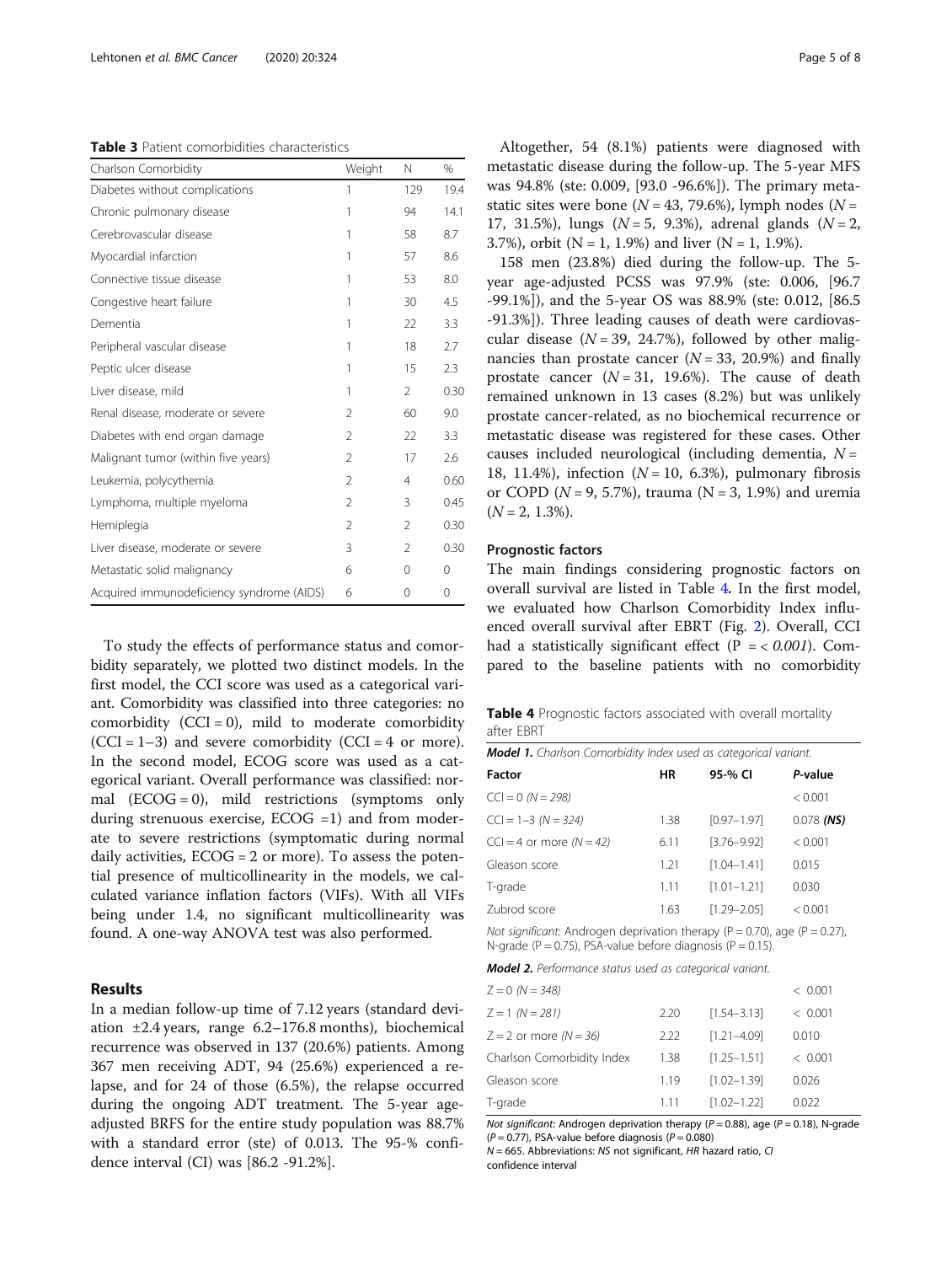<span id="page-4-0"></span>Table 3 Patient comorbidities characteristics

| Charlson Comorbidity                      | Weight         | N              | %        |
|-------------------------------------------|----------------|----------------|----------|
| Diabetes without complications            | 1              | 129            | 19.4     |
| Chronic pulmonary disease                 | 1              | 94             | 14.1     |
| Cerebrovascular disease                   | 1              | 58             | 8.7      |
| Myocardial infarction                     | 1              | 57             | 8.6      |
| Connective tissue disease                 | 1              | 53             | 8.0      |
| Congestive heart failure                  | 1              | 30             | 4.5      |
| Dementia                                  | 1              | 22             | 3.3      |
| Peripheral vascular disease               | 1              | 18             | 2.7      |
| Peptic ulcer disease                      | 1              | 15             | 2.3      |
| Liver disease, mild                       | 1              | $\mathfrak{D}$ | 0.30     |
| Renal disease, moderate or severe         | $\mathfrak{D}$ | 60             | 9.0      |
| Diabetes with end organ damage            | 2              | 22             | 3.3      |
| Malignant tumor (within five years)       | $\mathfrak{D}$ | 17             | 2.6      |
| Leukemia, polycythemia                    | 2              | 4              | 0.60     |
| Lymphoma, multiple myeloma                | 2              | 3              | 0.45     |
| Hemiplegia                                | $\mathfrak{D}$ | $\mathfrak{D}$ | 0.30     |
| Liver disease, moderate or severe         | 3              | $\mathfrak{D}$ | 0.30     |
| Metastatic solid malignancy               | 6              | $\Omega$       | $\Omega$ |
| Acquired immunodeficiency syndrome (AIDS) | 6              | $\Omega$       | $\Omega$ |

To study the effects of performance status and comorbidity separately, we plotted two distinct models. In the first model, the CCI score was used as a categorical variant. Comorbidity was classified into three categories: no comorbidity  $(CCI = 0)$ , mild to moderate comorbidity  $(CCI = 1-3)$  and severe comorbidity  $(CCI = 4$  or more). In the second model, ECOG score was used as a categorical variant. Overall performance was classified: normal  $(ECOG = 0)$ , mild restrictions (symptoms only during strenuous exercise, ECOG =1) and from moderate to severe restrictions (symptomatic during normal daily activities,  $ECOG = 2$  or more). To assess the potential presence of multicollinearity in the models, we calculated variance inflation factors (VIFs). With all VIFs being under 1.4, no significant multicollinearity was found. A one-way ANOVA test was also performed.

## Results

In a median follow-up time of 7.12 years (standard deviation ±2.4 years, range 6.2–176.8 months), biochemical recurrence was observed in 137 (20.6%) patients. Among 367 men receiving ADT, 94 (25.6%) experienced a relapse, and for 24 of those (6.5%), the relapse occurred during the ongoing ADT treatment. The 5-year ageadjusted BRFS for the entire study population was 88.7% with a standard error (ste) of 0.013. The 95-% confidence interval (CI) was [86.2 -91.2%].

Altogether, 54 (8.1%) patients were diagnosed with metastatic disease during the follow-up. The 5-year MFS was 94.8% (ste: 0.009, [93.0 -96.6%]). The primary metastatic sites were bone ( $N = 43, 79.6\%$ ), lymph nodes ( $N =$ 17, 31.5%), lungs ( $N = 5$ , 9.3%), adrenal glands ( $N = 2$ , 3.7%), orbit ( $N = 1, 1.9%$ ) and liver ( $N = 1, 1.9%$ ).

158 men (23.8%) died during the follow-up. The 5 year age-adjusted PCSS was 97.9% (ste: 0.006, [96.7 -99.1%]), and the 5-year OS was 88.9% (ste: 0.012, [86.5 -91.3%]). Three leading causes of death were cardiovascular disease ( $N = 39, 24.7\%$ ), followed by other malignancies than prostate cancer  $(N = 33, 20.9%)$  and finally prostate cancer  $(N = 31, 19.6\%)$ . The cause of death remained unknown in 13 cases (8.2%) but was unlikely prostate cancer-related, as no biochemical recurrence or metastatic disease was registered for these cases. Other causes included neurological (including dementia,  $N =$ 18, 11.4%), infection  $(N = 10, 6.3)$ , pulmonary fibrosis or COPD ( $N = 9, 5.7\%$ ), trauma ( $N = 3, 1.9\%$ ) and uremia  $(N = 2, 1.3\%).$ 

# Prognostic factors

The main findings considering prognostic factors on overall survival are listed in Table 4. In the first model, we evaluated how Charlson Comorbidity Index influenced overall survival after EBRT (Fig. [2\)](#page-5-0). Overall, CCI had a statistically significant effect ( $P = < 0.001$ ). Compared to the baseline patients with no comorbidity

**Table 4** Prognostic factors associated with overall mortality after EBRT

| <b>Model 1.</b> Charlson Comorbidity Index used as categorical variant. |      |                 |              |  |
|-------------------------------------------------------------------------|------|-----------------|--------------|--|
| Factor                                                                  | HR   | 95-% CI         | P-value      |  |
| $CCI = 0 (N = 298)$                                                     |      |                 | < 0.001      |  |
| $CCI = 1-3$ (N = 324)                                                   | 1.38 | $[0.97 - 1.97]$ | $0.078$ (NS) |  |
| $CCI = 4$ or more $(N = 42)$                                            | 6.11 | $[3.76 - 9.92]$ | < 0.001      |  |
| Gleason score                                                           | 1.21 | $[1.04 - 1.41]$ | 0.015        |  |
| T-grade                                                                 | 1.11 | $[1.01 - 1.21]$ | 0.030        |  |
| Zubrod score                                                            | 1.63 | $[1.29 - 2.05]$ | < 0.001      |  |
|                                                                         |      |                 |              |  |

Not significant: Androgen deprivation therapy ( $P = 0.70$ ), age ( $P = 0.27$ ), N-grade ( $P = 0.75$ ), PSA-value before diagnosis ( $P = 0.15$ ).

Model 2. Performance status used as categorical variant.

| $Z = 0$ (N = 348)          |      |                 | < 0.001 |
|----------------------------|------|-----------------|---------|
| $Z = 1$ (N = 281)          | 2.20 | $[1.54 - 3.13]$ | < 0.001 |
| $Z = 2$ or more $(N = 36)$ | 2.22 | $[1.21 - 4.09]$ | 0.010   |
| Charlson Comorbidity Index | 1.38 | $[1.25 - 1.51]$ | < 0.001 |
| Gleason score              | 1.19 | $[1.02 - 1.39]$ | 0.026   |
| T-grade                    | 1.11 | $[1.02 - 1.22]$ | 0.022   |

Not significant: Androgen deprivation therapy ( $P = 0.88$ ), age ( $P = 0.18$ ), N-grade  $(P = 0.77)$ , PSA-value before diagnosis  $(P = 0.080)$ 

 $N = 665$ . Abbreviations: NS not significant, HR hazard ratio, C confidence interval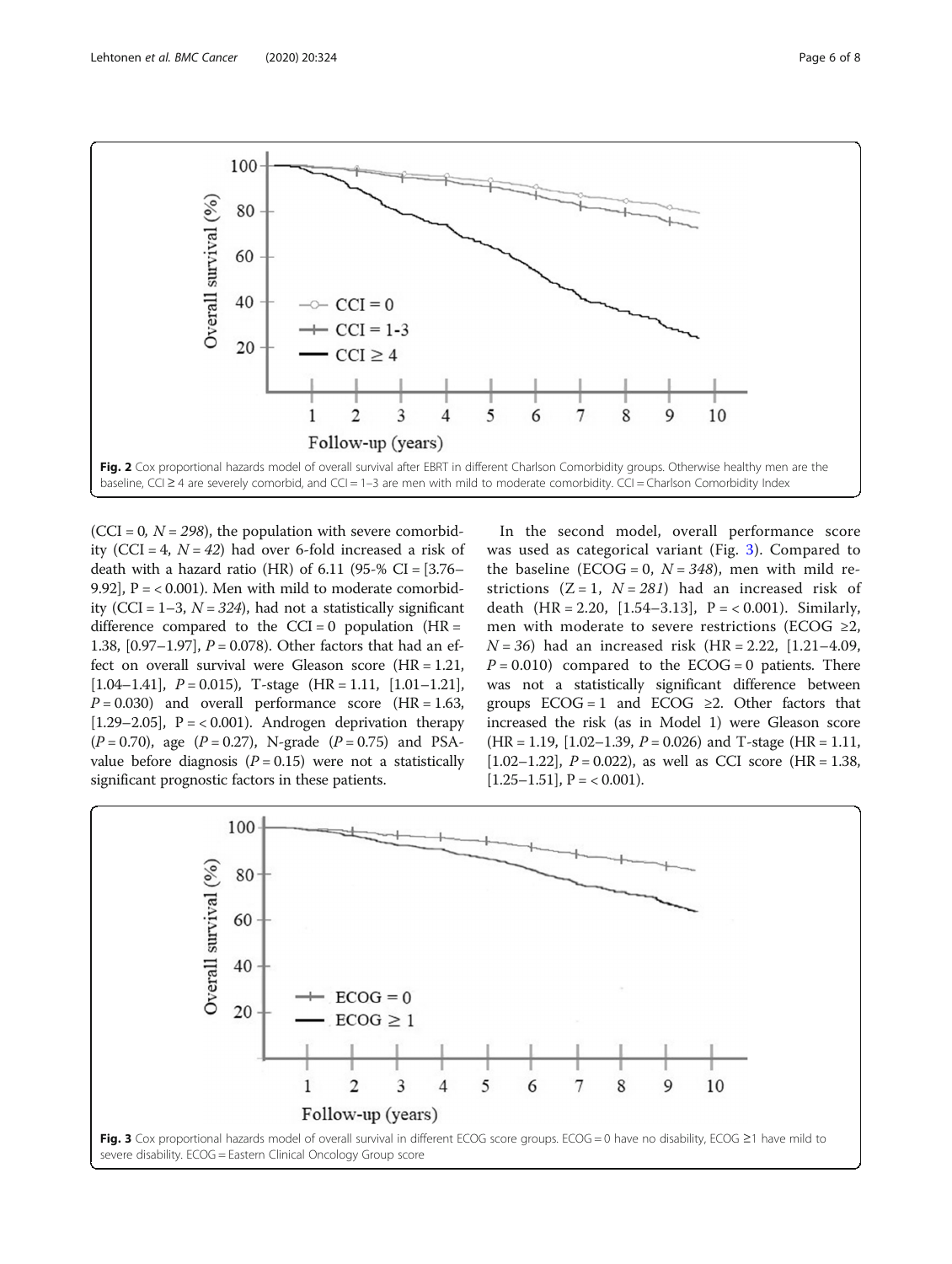<span id="page-5-0"></span>

(CCI = 0,  $N = 298$ ), the population with severe comorbidity (CCI = 4,  $N = 42$ ) had over 6-fold increased a risk of death with a hazard ratio (HR) of 6.11 (95-% CI =  $[3.76-$ 9.92],  $P = < 0.001$ ). Men with mild to moderate comorbidity (CCI = 1–3,  $N = 324$ ), had not a statistically significant difference compared to the  $CCI = 0$  population (HR = 1.38,  $[0.97-1.97]$ ,  $P = 0.078$ ). Other factors that had an effect on overall survival were Gleason score  $(HR = 1.21,$ [1.04–1.41],  $P = 0.015$ ), T-stage (HR = 1.11, [1.01–1.21],  $P = 0.030$ ) and overall performance score (HR = 1.63, [1.29–2.05],  $P = < 0.001$ ). Androgen deprivation therapy  $(P = 0.70)$ , age  $(P = 0.27)$ , N-grade  $(P = 0.75)$  and PSAvalue before diagnosis  $(P = 0.15)$  were not a statistically significant prognostic factors in these patients.

In the second model, overall performance score was used as categorical variant (Fig. 3). Compared to the baseline (ECOG = 0,  $N = 348$ ), men with mild restrictions  $(Z = 1, N = 281)$  had an increased risk of death  $(HR = 2.20, [1.54-3.13], P = <0.001)$ . Similarly, men with moderate to severe restrictions (ECOG  $\geq 2$ ,  $N = 36$ ) had an increased risk (HR = 2.22, [1.21-4.09,  $P = 0.010$  compared to the ECOG = 0 patients. There was not a statistically significant difference between groups  $ECOG = 1$  and  $ECOG \geq 2$ . Other factors that increased the risk (as in Model 1) were Gleason score  $(HR = 1.19, [1.02-1.39, P = 0.026)$  and T-stage (HR = 1.11, [1.02–1.22],  $P = 0.022$ ], as well as CCI score (HR = 1.38,  $[1.25-1.51]$ ,  $P = < 0.001$ ).

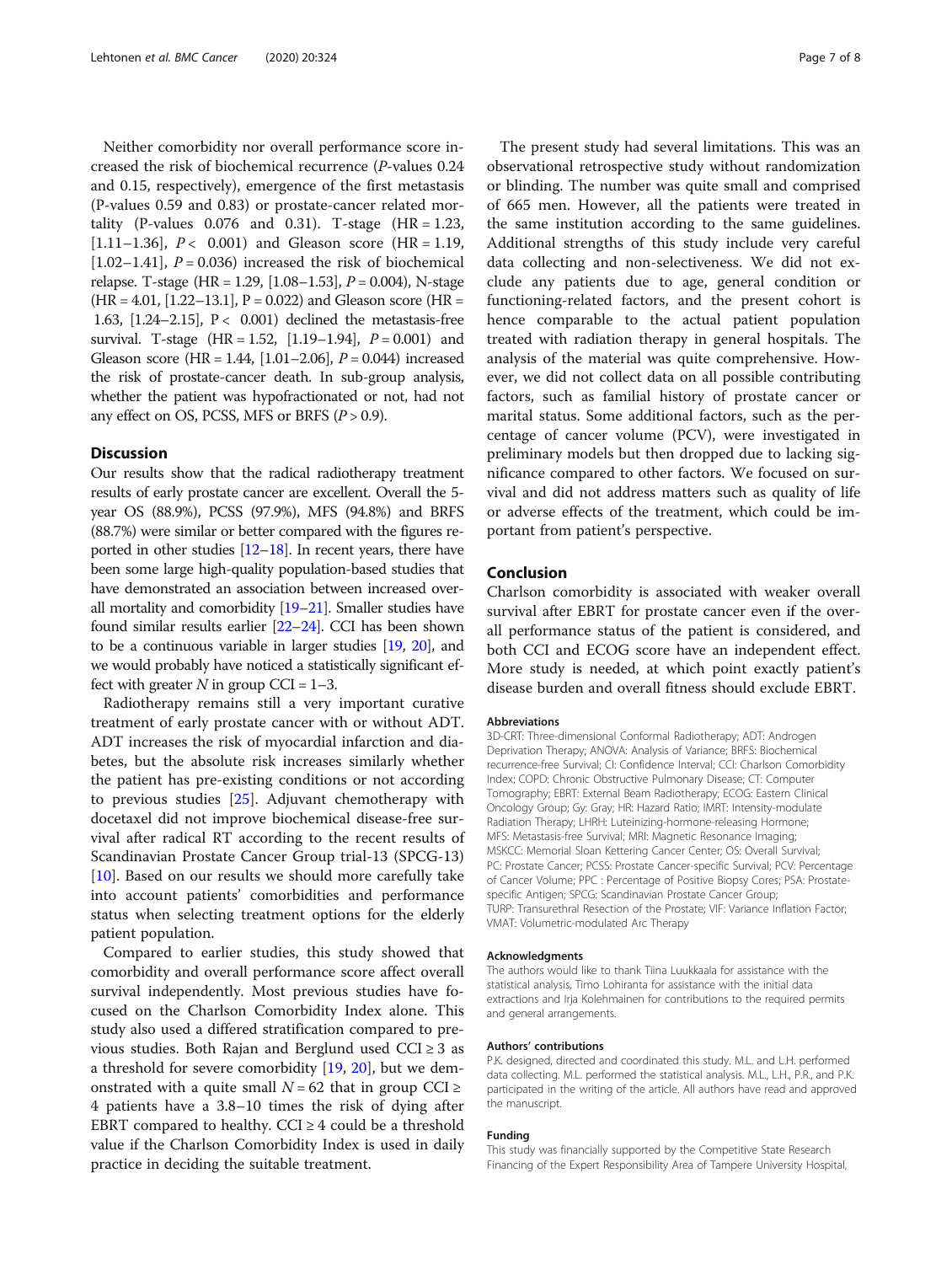Neither comorbidity nor overall performance score increased the risk of biochemical recurrence (P-values 0.24 and 0.15, respectively), emergence of the first metastasis (P-values 0.59 and 0.83) or prostate-cancer related mortality (P-values 0.076 and 0.31). T-stage (HR = 1.23, [1.11–1.36],  $P < 0.001$ ] and Gleason score (HR = 1.19, [1.02–1.41],  $P = 0.036$ ) increased the risk of biochemical relapse. T-stage (HR = 1.29, [1.08–1.53],  $P = 0.004$ ), N-stage  $(HR = 4.01, [1.22-13.1], P = 0.022)$  and Gleason score (HR = 1.63, [1.24–2.15], P < 0.001) declined the metastasis-free survival. T-stage  $(HR = 1.52, [1.19-1.94], P = 0.001)$  and Gleason score (HR = 1.44, [1.01–2.06],  $P = 0.044$ ) increased the risk of prostate-cancer death. In sub-group analysis, whether the patient was hypofractionated or not, had not any effect on OS, PCSS, MFS or BRFS  $(P > 0.9)$ .

# **Discussion**

Our results show that the radical radiotherapy treatment results of early prostate cancer are excellent. Overall the 5 year OS (88.9%), PCSS (97.9%), MFS (94.8%) and BRFS (88.7%) were similar or better compared with the figures reported in other studies [\[12](#page-7-0)–[18\]](#page-7-0). In recent years, there have been some large high-quality population-based studies that have demonstrated an association between increased overall mortality and comorbidity [[19](#page-7-0)–[21](#page-7-0)]. Smaller studies have found similar results earlier [\[22](#page-7-0)–[24\]](#page-7-0). CCI has been shown to be a continuous variable in larger studies [\[19,](#page-7-0) [20](#page-7-0)], and we would probably have noticed a statistically significant effect with greater N in group CCI =  $1-3$ .

Radiotherapy remains still a very important curative treatment of early prostate cancer with or without ADT. ADT increases the risk of myocardial infarction and diabetes, but the absolute risk increases similarly whether the patient has pre-existing conditions or not according to previous studies [\[25](#page-7-0)]. Adjuvant chemotherapy with docetaxel did not improve biochemical disease-free survival after radical RT according to the recent results of Scandinavian Prostate Cancer Group trial-13 (SPCG-13) [[10\]](#page-7-0). Based on our results we should more carefully take into account patients' comorbidities and performance status when selecting treatment options for the elderly patient population.

Compared to earlier studies, this study showed that comorbidity and overall performance score affect overall survival independently. Most previous studies have focused on the Charlson Comorbidity Index alone. This study also used a differed stratification compared to previous studies. Both Rajan and Berglund used  $CCI \geq 3$  as a threshold for severe comorbidity [[19,](#page-7-0) [20\]](#page-7-0), but we demonstrated with a quite small  $N = 62$  that in group CCI ≥ 4 patients have a 3.8–10 times the risk of dying after EBRT compared to healthy. CCI  $\geq$  4 could be a threshold value if the Charlson Comorbidity Index is used in daily practice in deciding the suitable treatment.

The present study had several limitations. This was an observational retrospective study without randomization or blinding. The number was quite small and comprised of 665 men. However, all the patients were treated in the same institution according to the same guidelines. Additional strengths of this study include very careful data collecting and non-selectiveness. We did not exclude any patients due to age, general condition or functioning-related factors, and the present cohort is hence comparable to the actual patient population treated with radiation therapy in general hospitals. The analysis of the material was quite comprehensive. However, we did not collect data on all possible contributing factors, such as familial history of prostate cancer or marital status. Some additional factors, such as the percentage of cancer volume (PCV), were investigated in preliminary models but then dropped due to lacking significance compared to other factors. We focused on survival and did not address matters such as quality of life or adverse effects of the treatment, which could be important from patient's perspective.

# Conclusion

Charlson comorbidity is associated with weaker overall survival after EBRT for prostate cancer even if the overall performance status of the patient is considered, and both CCI and ECOG score have an independent effect. More study is needed, at which point exactly patient's disease burden and overall fitness should exclude EBRT.

#### Abbreviations

3D-CRT: Three-dimensional Conformal Radiotherapy; ADT: Androgen Deprivation Therapy; ANOVA: Analysis of Variance; BRFS: Biochemical recurrence-free Survival; CI: Confidence Interval; CCI: Charlson Comorbidity Index; COPD: Chronic Obstructive Pulmonary Disease; CT: Computer Tomography; EBRT: External Beam Radiotherapy; ECOG: Eastern Clinical Oncology Group; Gy: Gray; HR: Hazard Ratio; IMRT: Intensity-modulate Radiation Therapy; LHRH: Luteinizing-hormone-releasing Hormone; MFS: Metastasis-free Survival; MRI: Magnetic Resonance Imaging; MSKCC: Memorial Sloan Kettering Cancer Center; OS: Overall Survival; PC: Prostate Cancer; PCSS: Prostate Cancer-specific Survival; PCV: Percentage of Cancer Volume; PPC : Percentage of Positive Biopsy Cores; PSA: Prostatespecific Antigen; SPCG: Scandinavian Prostate Cancer Group; TURP: Transurethral Resection of the Prostate; VIF: Variance Inflation Factor; VMAT: Volumetric-modulated Arc Therapy

#### Acknowledgments

The authors would like to thank Tiina Luukkaala for assistance with the statistical analysis, Timo Lohiranta for assistance with the initial data extractions and Irja Kolehmainen for contributions to the required permits and general arrangements.

### Authors' contributions

P.K. designed, directed and coordinated this study. M.L. and L.H. performed data collecting. M.L. performed the statistical analysis. M.L., L.H., P.R., and P.K. participated in the writing of the article. All authors have read and approved the manuscript.

#### Funding

This study was financially supported by the Competitive State Research Financing of the Expert Responsibility Area of Tampere University Hospital,